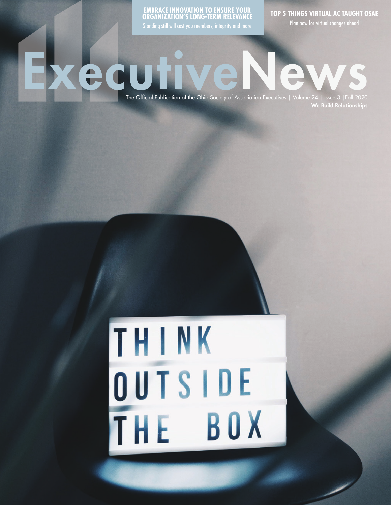**EMBRACE INNOVATION TO ENSURE YOUR ORGANIZATION'S LONG-TERM RELEVANCE** Standing still will cost you members, integrity and more

**TOP 5 THINGS VIRTUAL AC TAUGHT OSAE**

Plan now for virtual changes ahead

The Official Publication of the Ohio Society of Association Executives | Volume 24 | Issue 3 | Fall 2020 We Build Relationships

## THINK OUTSIDE THE BOX